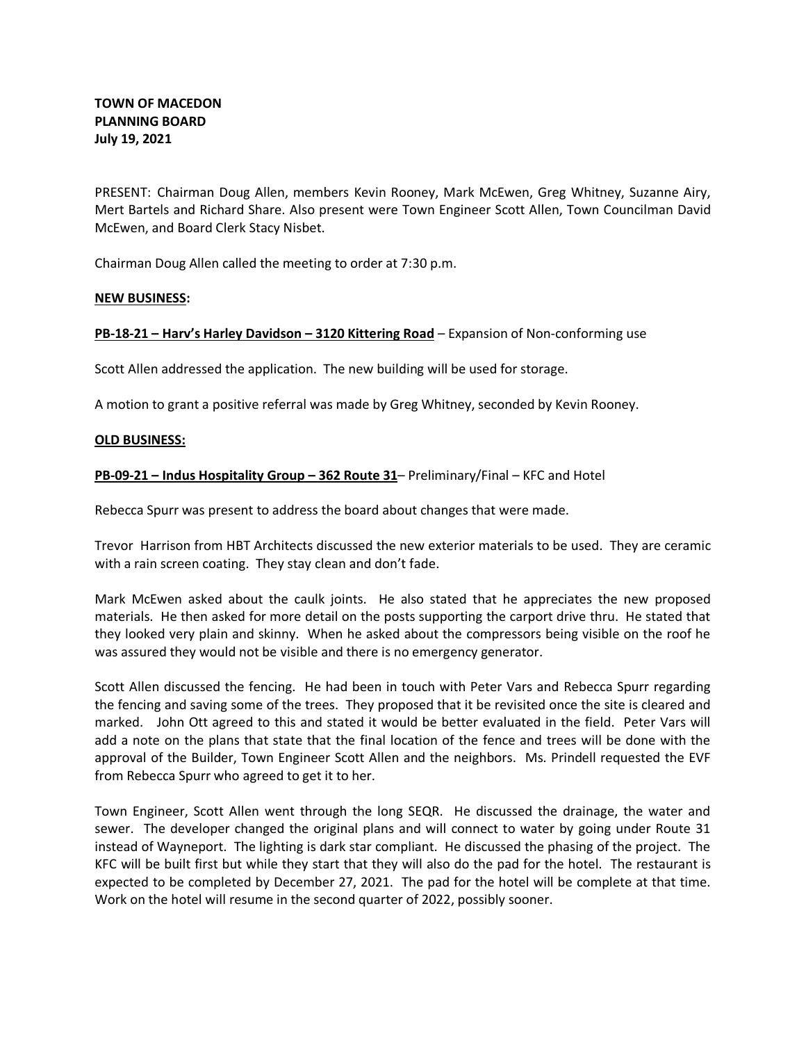PRESENT: Chairman Doug Allen, members Kevin Rooney, Mark McEwen, Greg Whitney, Suzanne Airy, Mert Bartels and Richard Share. Also present were Town Engineer Scott Allen, Town Councilman David McEwen, and Board Clerk Stacy Nisbet.

Chairman Doug Allen called the meeting to order at 7:30 p.m.

# **NEW BUSINESS:**

# **PB-18-21 – Harv's Harley Davidson – 3120 Kittering Road** – Expansion of Non-conforming use

Scott Allen addressed the application. The new building will be used for storage.

A motion to grant a positive referral was made by Greg Whitney, seconded by Kevin Rooney.

## **OLD BUSINESS:**

# **PB-09-21 – Indus Hospitality Group – 362 Route 31**– Preliminary/Final – KFC and Hotel

Rebecca Spurr was present to address the board about changes that were made.

Trevor Harrison from HBT Architects discussed the new exterior materials to be used. They are ceramic with a rain screen coating. They stay clean and don't fade.

Mark McEwen asked about the caulk joints. He also stated that he appreciates the new proposed materials. He then asked for more detail on the posts supporting the carport drive thru. He stated that they looked very plain and skinny. When he asked about the compressors being visible on the roof he was assured they would not be visible and there is no emergency generator.

Scott Allen discussed the fencing. He had been in touch with Peter Vars and Rebecca Spurr regarding the fencing and saving some of the trees. They proposed that it be revisited once the site is cleared and marked. John Ott agreed to this and stated it would be better evaluated in the field. Peter Vars will add a note on the plans that state that the final location of the fence and trees will be done with the approval of the Builder, Town Engineer Scott Allen and the neighbors. Ms. Prindell requested the EVF from Rebecca Spurr who agreed to get it to her.

Town Engineer, Scott Allen went through the long SEQR. He discussed the drainage, the water and sewer. The developer changed the original plans and will connect to water by going under Route 31 instead of Wayneport. The lighting is dark star compliant. He discussed the phasing of the project. The KFC will be built first but while they start that they will also do the pad for the hotel. The restaurant is expected to be completed by December 27, 2021. The pad for the hotel will be complete at that time. Work on the hotel will resume in the second quarter of 2022, possibly sooner.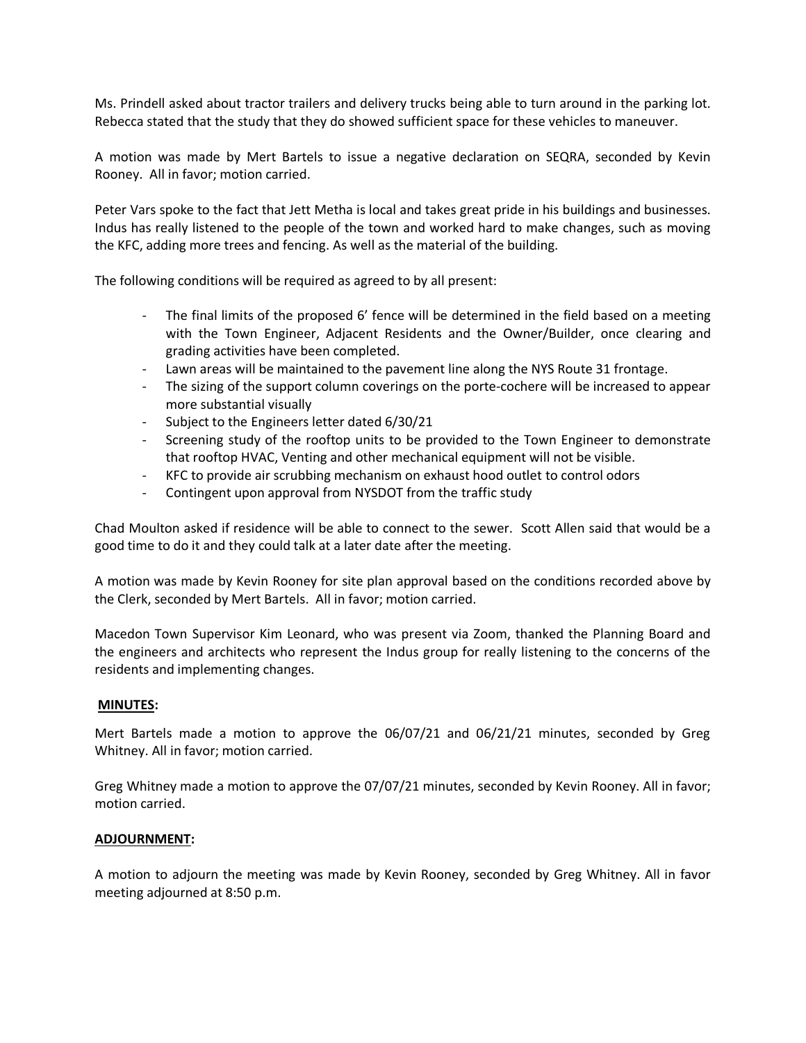Ms. Prindell asked about tractor trailers and delivery trucks being able to turn around in the parking lot. Rebecca stated that the study that they do showed sufficient space for these vehicles to maneuver.

A motion was made by Mert Bartels to issue a negative declaration on SEQRA, seconded by Kevin Rooney. All in favor; motion carried.

Peter Vars spoke to the fact that Jett Metha is local and takes great pride in his buildings and businesses. Indus has really listened to the people of the town and worked hard to make changes, such as moving the KFC, adding more trees and fencing. As well as the material of the building.

The following conditions will be required as agreed to by all present:

- The final limits of the proposed 6' fence will be determined in the field based on a meeting with the Town Engineer, Adjacent Residents and the Owner/Builder, once clearing and grading activities have been completed.
- Lawn areas will be maintained to the pavement line along the NYS Route 31 frontage.
- The sizing of the support column coverings on the porte-cochere will be increased to appear more substantial visually
- Subject to the Engineers letter dated 6/30/21
- Screening study of the rooftop units to be provided to the Town Engineer to demonstrate that rooftop HVAC, Venting and other mechanical equipment will not be visible.
- KFC to provide air scrubbing mechanism on exhaust hood outlet to control odors
- Contingent upon approval from NYSDOT from the traffic study

Chad Moulton asked if residence will be able to connect to the sewer. Scott Allen said that would be a good time to do it and they could talk at a later date after the meeting.

A motion was made by Kevin Rooney for site plan approval based on the conditions recorded above by the Clerk, seconded by Mert Bartels. All in favor; motion carried.

Macedon Town Supervisor Kim Leonard, who was present via Zoom, thanked the Planning Board and the engineers and architects who represent the Indus group for really listening to the concerns of the residents and implementing changes.

## **MINUTES:**

Mert Bartels made a motion to approve the 06/07/21 and 06/21/21 minutes, seconded by Greg Whitney. All in favor; motion carried.

Greg Whitney made a motion to approve the 07/07/21 minutes, seconded by Kevin Rooney. All in favor; motion carried.

## **ADJOURNMENT:**

A motion to adjourn the meeting was made by Kevin Rooney, seconded by Greg Whitney. All in favor meeting adjourned at 8:50 p.m.